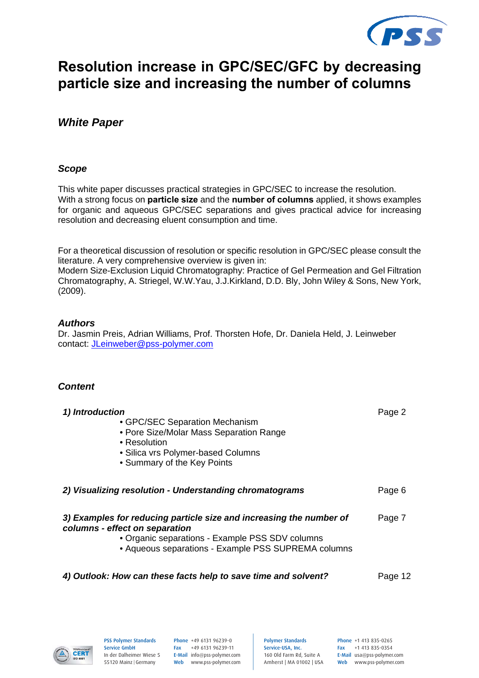

# **Resolution increase in GPC/SEC/GFC by decreasing particle size and increasing the number of columns**

## *White Paper*

### *Scope*

This white paper discusses practical strategies in GPC/SEC to increase the resolution. With a strong focus on **particle size** and the **number of columns** applied, it shows examples for organic and aqueous GPC/SEC separations and gives practical advice for increasing resolution and decreasing eluent consumption and time.

For a theoretical discussion of resolution or specific resolution in GPC/SEC please consult the literature. A very comprehensive overview is given in:

Modern Size-Exclusion Liquid Chromatography: Practice of Gel Permeation and Gel Filtration Chromatography, A. Striegel, W.W.Yau, J.J.Kirkland, D.D. Bly, John Wiley & Sons, New York, (2009).

### *Authors*

Dr. Jasmin Preis, Adrian Williams, Prof. Thorsten Hofe, Dr. Daniela Held, J. Leinweber contact: JLeinweber@pss-polymer.com

### *Content*

| 1) Introduction<br>• GPC/SEC Separation Mechanism<br>• Pore Size/Molar Mass Separation Range<br>• Resolution<br>• Silica vrs Polymer-based Columns<br>• Summary of the Key Points                               | Page 2  |
|-----------------------------------------------------------------------------------------------------------------------------------------------------------------------------------------------------------------|---------|
| 2) Visualizing resolution - Understanding chromatograms                                                                                                                                                         | Page 6  |
| 3) Examples for reducing particle size and increasing the number of<br>columns - effect on separation<br>• Organic separations - Example PSS SDV columns<br>• Aqueous separations - Example PSS SUPREMA columns | Page 7  |
| 4) Outlook: How can these facts help to save time and solvent?                                                                                                                                                  | Page 12 |



PSS Polymer Standards Service GmbH In der Dalheimer Wiese 5 55120 Mainz |Germany

Phone +49 6131 96239-0 Fax +49 6131 96239-11 E-Mail info@pss-polymer.com Web www.pss-polymer.com Polymer Standards Service-USA, Inc. 160 Old Farm Rd, Suite A Amherst | MA 01002 | USA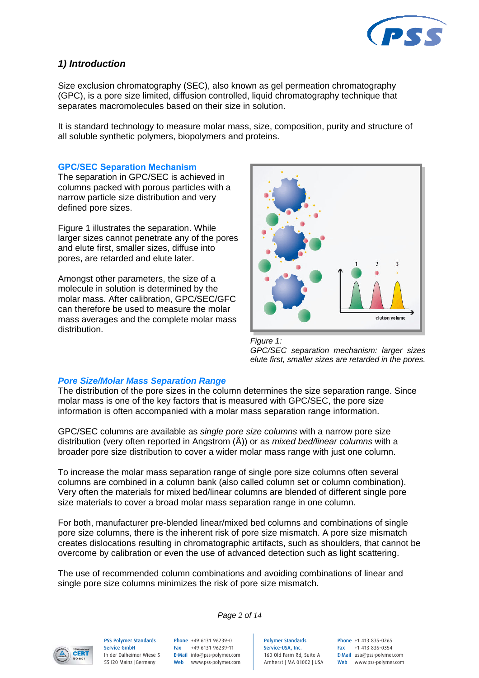

### *1) Introduction*

Size exclusion chromatography (SEC), also known as gel permeation chromatography (GPC), is a pore size limited, diffusion controlled, liquid chromatography technique that separates macromolecules based on their size in solution.

It is standard technology to measure molar mass, size, composition, purity and structure of all soluble synthetic polymers, biopolymers and proteins.

#### **GPC/SEC Separation Mechanism**

The separation in GPC/SEC is achieved in columns packed with porous particles with a narrow particle size distribution and very defined pore sizes.

Figure 1 illustrates the separation. While larger sizes cannot penetrate any of the pores and elute first, smaller sizes, diffuse into pores, are retarded and elute later.

Amongst other parameters, the size of a molecule in solution is determined by the molar mass. After calibration, GPC/SEC/GFC can therefore be used to measure the molar mass averages and the complete molar mass distribution.



*Figure 1: GPC/SEC separation mechanism: larger sizes elute first, smaller sizes are retarded in the pores.*

### *Pore Size/Molar Mass Separation Range*

The distribution of the pore sizes in the column determines the size separation range. Since molar mass is one of the key factors that is measured with GPC/SEC, the pore size information is often accompanied with a molar mass separation range information.

GPC/SEC columns are available as *single pore size columns* with a narrow pore size distribution (very often reported in Angstrom (Å)) or as *mixed bed/linear columns* with a broader pore size distribution to cover a wider molar mass range with just one column.

To increase the molar mass separation range of single pore size columns often several columns are combined in a column bank (also called column set or column combination). Very often the materials for mixed bed/linear columns are blended of different single pore size materials to cover a broad molar mass separation range in one column.

For both, manufacturer pre-blended linear/mixed bed columns and combinations of single pore size columns, there is the inherent risk of pore size mismatch. A pore size mismatch creates dislocations resulting in chromatographic artifacts, such as shoulders, that cannot be overcome by calibration or even the use of advanced detection such as light scattering.

The use of recommended column combinations and avoiding combinations of linear and single pore size columns minimizes the risk of pore size mismatch.

*Page 2 of 14*



PSS Polymer Standards Service GmbH In der Dalheimer Wiese 5 55120 Mainz |Germany

Phone +49 6131 96239-0 Fax +49 6131 96239-11 E-Mail info@pss-polymer.com Web www.pss-polymer.com

Polymer Standards Service-USA, Inc. 160 Old Farm Rd, Suite A Amherst | MA 01002 | USA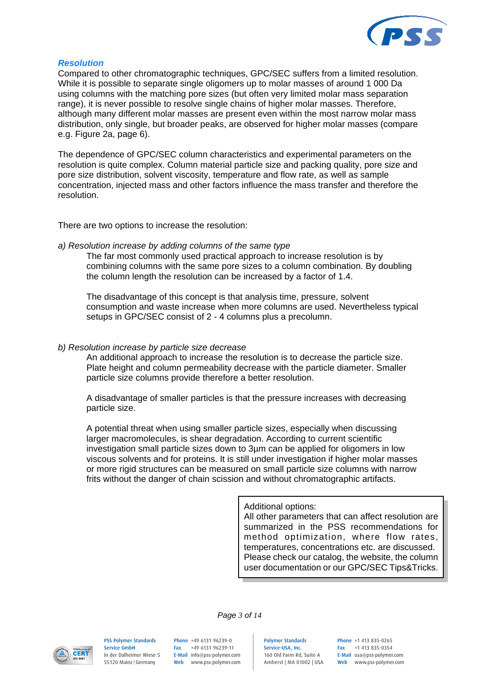

#### *Resolution*

Compared to other chromatographic techniques, GPC/SEC suffers from a limited resolution. While it is possible to separate single oligomers up to molar masses of around 1 000 Da using columns with the matching pore sizes (but often very limited molar mass separation range), it is never possible to resolve single chains of higher molar masses. Therefore, although many different molar masses are present even within the most narrow molar mass distribution, only single, but broader peaks, are observed for higher molar masses (compare e.g. Figure 2a, page 6).

The dependence of GPC/SEC column characteristics and experimental parameters on the resolution is quite complex. Column material particle size and packing quality, pore size and pore size distribution, solvent viscosity, temperature and flow rate, as well as sample concentration, injected mass and other factors influence the mass transfer and therefore the resolution.

There are two options to increase the resolution:

#### *a) Resolution increase by adding columns of the same type*

The far most commonly used practical approach to increase resolution is by combining columns with the same pore sizes to a column combination. By doubling the column length the resolution can be increased by a factor of 1.4.

The disadvantage of this concept is that analysis time, pressure, solvent consumption and waste increase when more columns are used. Nevertheless typical setups in GPC/SEC consist of 2 - 4 columns plus a precolumn.

#### *b) Resolution increase by particle size decrease*

An additional approach to increase the resolution is to decrease the particle size. Plate height and column permeability decrease with the particle diameter. Smaller particle size columns provide therefore a better resolution.

A disadvantage of smaller particles is that the pressure increases with decreasing particle size.

A potential threat when using smaller particle sizes, especially when discussing larger macromolecules, is shear degradation. According to current scientific investigation small particle sizes down to 3µm can be applied for oligomers in low viscous solvents and for proteins. It is still under investigation if higher molar masses or more rigid structures can be measured on small particle size columns with narrow frits without the danger of chain scission and without chromatographic artifacts.

> Additional options: All other parameters that can affect resolution are summarized in the PSS recommendations for method optimization, where flow rates, temperatures, concentrations etc. are discussed. Please check our catalog, the website, the column user documentation or our GPC/SEC Tips&Tricks.



PSS Polymer Standards Service GmbH In der Dalheimer Wiese 5 55120 Mainz |Germany

Phone +49 6131 96239-0 Fax +49 6131 96239-11 E-Mail info@pss-polymer.com Web www.pss-polymer.com

*Page 3 of 14*

Polymer Standards Service-USA, Inc. 160 Old Farm Rd, Suite A Amherst | MA 01002 | USA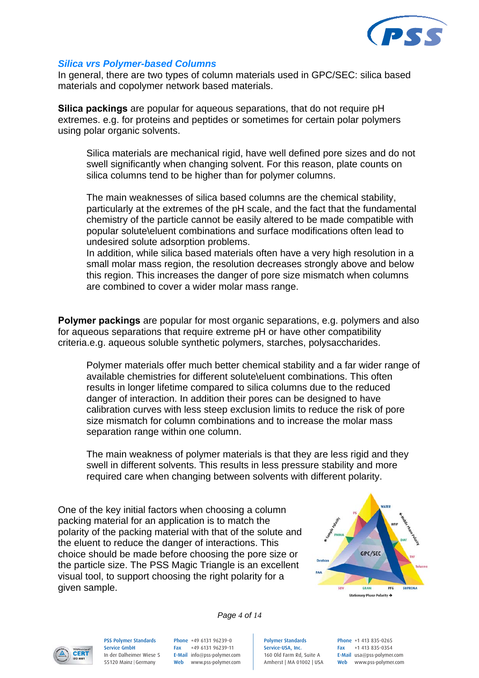

#### *Silica vrs Polymer-based Columns*

In general, there are two types of column materials used in GPC/SEC: silica based materials and copolymer network based materials.

**Silica packings** are popular for aqueous separations, that do not require pH extremes. e.g. for proteins and peptides or sometimes for certain polar polymers using polar organic solvents.

Silica materials are mechanical rigid, have well defined pore sizes and do not swell significantly when changing solvent. For this reason, plate counts on silica columns tend to be higher than for polymer columns.

The main weaknesses of silica based columns are the chemical stability, particularly at the extremes of the pH scale, and the fact that the fundamental chemistry of the particle cannot be easily altered to be made compatible with popular solute\eluent combinations and surface modifications often lead to undesired solute adsorption problems.

In addition, while silica based materials often have a very high resolution in a small molar mass region, the resolution decreases strongly above and below this region. This increases the danger of pore size mismatch when columns are combined to cover a wider molar mass range.

**Polymer packings** are popular for most organic separations, e.g. polymers and also for aqueous separations that require extreme pH or have other compatibility criteria.e.g. aqueous soluble synthetic polymers, starches, polysaccharides.

Polymer materials offer much better chemical stability and a far wider range of available chemistries for different solute\eluent combinations. This often results in longer lifetime compared to silica columns due to the reduced danger of interaction. In addition their pores can be designed to have calibration curves with less steep exclusion limits to reduce the risk of pore size mismatch for column combinations and to increase the molar mass separation range within one column.

The main weakness of polymer materials is that they are less rigid and they swell in different solvents. This results in less pressure stability and more required care when changing between solvents with different polarity.

One of the key initial factors when choosing a column packing material for an application is to match the polarity of the packing material with that of the solute and the eluent to reduce the danger of interactions. This choice should be made before choosing the pore size or the particle size. The PSS Magic Triangle is an excellent visual tool, to support choosing the right polarity for a given sample.



**CERT** 

PSS Polymer Standards Service GmbH In der Dalheimer Wiese 5 55120 Mainz |Germany

Phone +49 6131 96239-0 Fax +49 6131 96239-11 E-Mail info@pss-polymer.com

*Page 4 of 14*

Web www.pss-polymer.com

Polymer Standards Service-USA, Inc. 160 Old Farm Rd, Suite A Amherst | MA 01002 | USA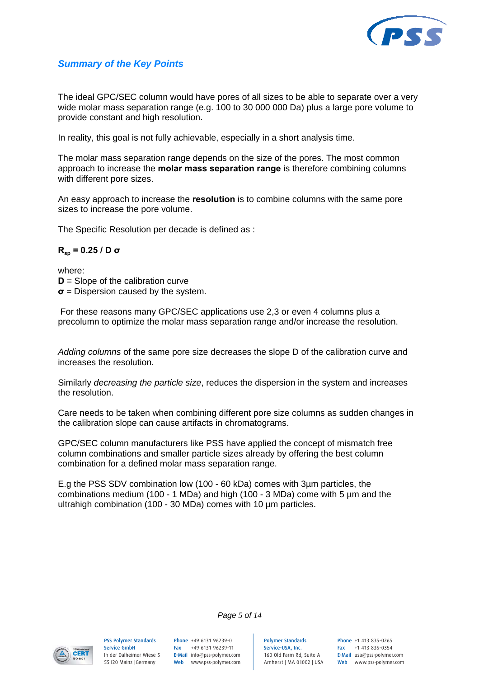

### *Summary of the Key Points*

The ideal GPC/SEC column would have pores of all sizes to be able to separate over a very wide molar mass separation range (e.g. 100 to 30 000 000 Da) plus a large pore volume to provide constant and high resolution.

In reality, this goal is not fully achievable, especially in a short analysis time.

The molar mass separation range depends on the size of the pores. The most common approach to increase the **molar mass separation range** is therefore combining columns with different pore sizes.

An easy approach to increase the **resolution** is to combine columns with the same pore sizes to increase the pore volume.

The Specific Resolution per decade is defined as :

#### **Rsp = 0.25 / D σ**

where: **D** = Slope of the calibration curve **σ** = Dispersion caused by the system.

 For these reasons many GPC/SEC applications use 2,3 or even 4 columns plus a precolumn to optimize the molar mass separation range and/or increase the resolution.

*Adding columns* of the same pore size decreases the slope D of the calibration curve and increases the resolution.

Similarly *decreasing the particle size*, reduces the dispersion in the system and increases the resolution.

Care needs to be taken when combining different pore size columns as sudden changes in the calibration slope can cause artifacts in chromatograms.

GPC/SEC column manufacturers like PSS have applied the concept of mismatch free column combinations and smaller particle sizes already by offering the best column combination for a defined molar mass separation range.

E.g the PSS SDV combination low (100 - 60 kDa) comes with 3µm particles, the combinations medium (100 - 1 MDa) and high (100 - 3 MDa) come with 5 µm and the ultrahigh combination (100 - 30 MDa) comes with 10 µm particles.



PSS Polymer Standards Service GmbH In der Dalheimer Wiese 5 55120 Mainz |Germany

Phone +49 6131 96239-0 Fax +49 6131 96239-11 E-Mail info@pss-polymer.com Web www.pss-polymer.com

*Page 5 of 14*

Polymer Standards Service-USA, Inc. 160 Old Farm Rd, Suite A Amherst | MA 01002 | USA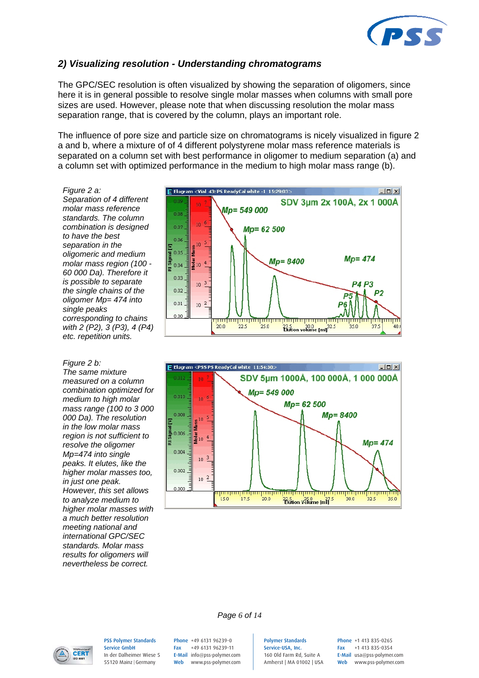

### *2) Visualizing resolution - Understanding chromatograms*

The GPC/SEC resolution is often visualized by showing the separation of oligomers, since here it is in general possible to resolve single molar masses when columns with small pore sizes are used. However, please note that when discussing resolution the molar mass separation range, that is covered by the column, plays an important role.

The influence of pore size and particle size on chromatograms is nicely visualized in figure 2 a and b, where a mixture of of 4 different polystyrene molar mass reference materials is separated on a column set with best performance in oligomer to medium separation (a) and a column set with optimized performance in the medium to high molar mass range (b).

*Figure 2 a: Separation of 4 different molar mass reference standards. The column combination is designed to have the best separation in the oligomeric and medium molar mass region (100 - 60 000 Da). Therefore it is possible to separate the single chains of the oligomer Mp= 474 into single peaks corresponding to chains with 2 (P2), 3 (P3), 4 (P4) etc. repetition units.* 

*Figure 2 b: The same mixture measured on a column combination optimized for medium to high molar mass range (100 to 3 000 000 Da). The resolution in the low molar mass region is not sufficient to resolve the oligomer Mp=474 into single peaks. It elutes, like the higher molar masses too, in just one peak. However, this set allows to analyze medium to higher molar masses with a much better resolution meeting national and international GPC/SEC standards. Molar mass results for oligomers will nevertheless be correct.* 







PSS Polymer Standards Service GmbH In der Dalheimer Wiese 5 55120 Mainz |Germany

Phone +49 6131 96239-0 Fax +49 6131 96239-11 E-Mail info@pss-polymer.com Web www.pss-polymer.com

*Page 6 of 14*

Polymer Standards Service-USA, Inc. 160 Old Farm Rd, Suite A Amherst | MA 01002 | USA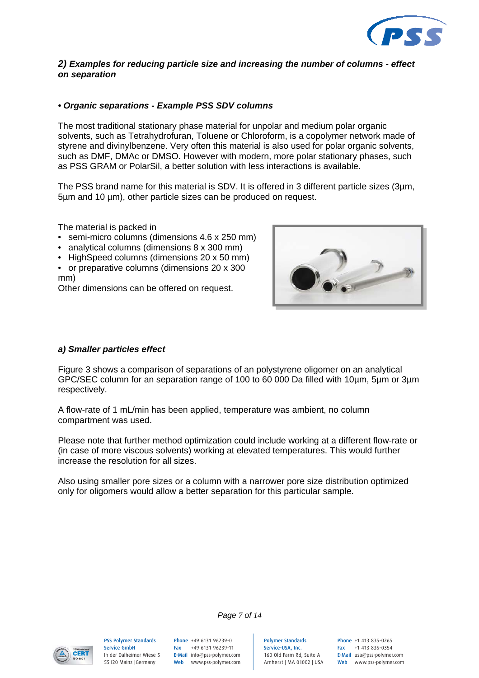

### *2) Examples for reducing particle size and increasing the number of columns - effect on separation*

### *• Organic separations - Example PSS SDV columns*

The most traditional stationary phase material for unpolar and medium polar organic solvents, such as Tetrahydrofuran, Toluene or Chloroform, is a copolymer network made of styrene and divinylbenzene. Very often this material is also used for polar organic solvents, such as DMF, DMAc or DMSO. However with modern, more polar stationary phases, such as PSS GRAM or PolarSil, a better solution with less interactions is available.

The PSS brand name for this material is SDV. It is offered in 3 different particle sizes (3µm, 5µm and 10 µm), other particle sizes can be produced on request.

The material is packed in

- semi-micro columns (dimensions 4.6 x 250 mm)
- analytical columns (dimensions 8 x 300 mm)
- HighSpeed columns (dimensions 20 x 50 mm)
- or preparative columns (dimensions 20 x 300 mm)

Other dimensions can be offered on request.



#### *a) Smaller particles effect*

Figure 3 shows a comparison of separations of an polystyrene oligomer on an analytical GPC/SEC column for an separation range of 100 to 60 000 Da filled with 10µm, 5µm or 3µm respectively.

A flow-rate of 1 mL/min has been applied, temperature was ambient, no column compartment was used.

Please note that further method optimization could include working at a different flow-rate or (in case of more viscous solvents) working at elevated temperatures. This would further increase the resolution for all sizes.

Also using smaller pore sizes or a column with a narrower pore size distribution optimized only for oligomers would allow a better separation for this particular sample.

*Page 7 of 14*



PSS Polymer Standards Service GmbH In der Dalheimer Wiese 5 55120 Mainz |Germany

Phone +49 6131 96239-0 Fax +49 6131 96239-11 E-Mail info@pss-polymer.com Web www.pss-polymer.com Polymer Standards Service-USA, Inc. 160 Old Farm Rd, Suite A Amherst | MA 01002 | USA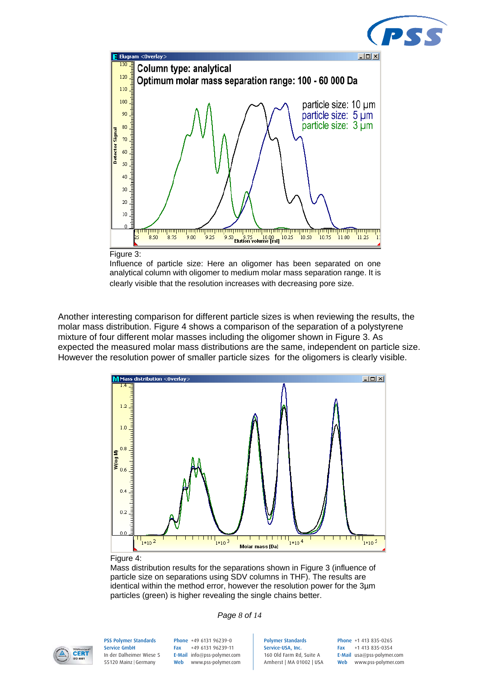



Influence of particle size: Here an oligomer has been separated on one analytical column with oligomer to medium molar mass separation range. It is clearly visible that the resolution increases with decreasing pore size.

Another interesting comparison for different particle sizes is when reviewing the results, the molar mass distribution. Figure 4 shows a comparison of the separation of a polystyrene mixture of four different molar masses including the oligomer shown in Figure 3. As expected the measured molar mass distributions are the same, independent on particle size. However the resolution power of smaller particle sizes for the oligomers is clearly visible.



#### Figure 4:

Mass distribution results for the separations shown in Figure 3 (influence of particle size on separations using SDV columns in THF). The results are identical within the method error, however the resolution power for the 3µm particles (green) is higher revealing the single chains better.





PSS Polymer Standards Service GmbH In der Dalheimer Wiese 5 55120 Mainz |Germany

Phone +49 6131 96239-0 Fax +49 6131 96239-11 E-Mail info@pss-polymer.com Web www.pss-polymer.com Polymer Standards Service-USA, Inc. 160 Old Farm Rd, Suite A Amherst | MA 01002 | USA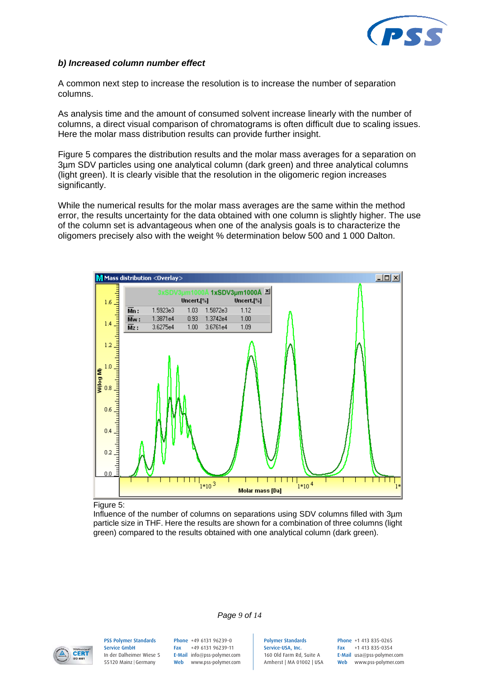

#### *b) Increased column number effect*

A common next step to increase the resolution is to increase the number of separation columns.

As analysis time and the amount of consumed solvent increase linearly with the number of columns, a direct visual comparison of chromatograms is often difficult due to scaling issues. Here the molar mass distribution results can provide further insight.

Figure 5 compares the distribution results and the molar mass averages for a separation on 3µm SDV particles using one analytical column (dark green) and three analytical columns (light green). It is clearly visible that the resolution in the oligomeric region increases significantly.

While the numerical results for the molar mass averages are the same within the method error, the results uncertainty for the data obtained with one column is slightly higher. The use of the column set is advantageous when one of the analysis goals is to characterize the oligomers precisely also with the weight % determination below 500 and 1 000 Dalton.



Figure 5:

Influence of the number of columns on separations using SDV columns filled with 3µm particle size in THF. Here the results are shown for a combination of three columns (light green) compared to the results obtained with one analytical column (dark green).

*Page 9 of 14*



PSS Polymer Standards Service GmbH In der Dalheimer Wiese 5 55120 Mainz |Germany

Phone +49 6131 96239-0 Fax +49 6131 96239-11 E-Mail info@pss-polymer.com Web www.pss-polymer.com Polymer Standards Service-USA, Inc. 160 Old Farm Rd, Suite A Amherst | MA 01002 | USA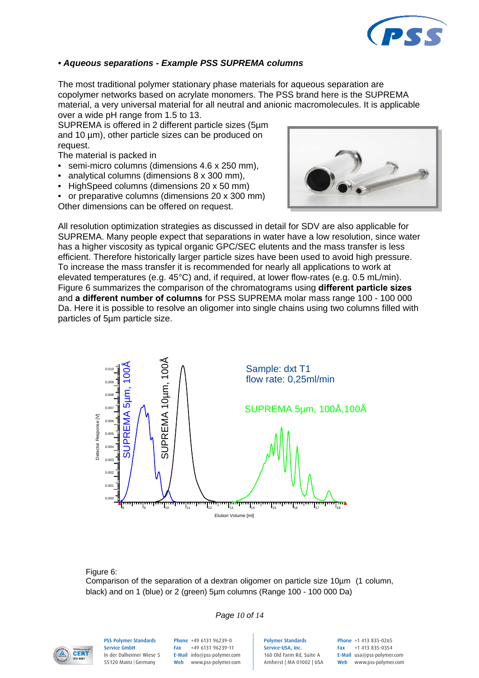

### *• Aqueous separations - Example PSS SUPREMA columns*

The most traditional polymer stationary phase materials for aqueous separation are copolymer networks based on acrylate monomers. The PSS brand here is the SUPREMA material, a very universal material for all neutral and anionic macromolecules. It is applicable over a wide pH range from 1.5 to 13.

SUPREMA is offered in 2 different particle sizes (5µm and 10 µm), other particle sizes can be produced on request.

The material is packed in

- semi-micro columns (dimensions 4.6 x 250 mm).
- analytical columns (dimensions 8 x 300 mm),
- HighSpeed columns (dimensions 20 x 50 mm)
- or preparative columns (dimensions 20 x 300 mm) Other dimensions can be offered on request.



All resolution optimization strategies as discussed in detail for SDV are also applicable for SUPREMA. Many people expect that separations in water have a low resolution, since water has a higher viscosity as typical organic GPC/SEC elutents and the mass transfer is less efficient. Therefore historically larger particle sizes have been used to avoid high pressure. To increase the mass transfer it is recommended for nearly all applications to work at elevated temperatures (e.g. 45°C) and, if required, at lower flow-rates (e.g. 0.5 mL/min). Figure 6 summarizes the comparison of the chromatograms using **different particle sizes** and **a different number of columns** for PSS SUPREMA molar mass range 100 - 100 000 Da. Here it is possible to resolve an oligomer into single chains using two columns filled with particles of 5µm particle size.



Figure 6:

Comparison of the separation of a dextran oligomer on particle size 10µm (1 column, black) and on 1 (blue) or 2 (green) 5µm columns (Range 100 - 100 000 Da)

### *Page 10 of 14*



PSS Polymer Standards Service GmbH In der Dalheimer Wiese 5 55120 Mainz |Germany

Phone +49 6131 96239-0 Fax +49 6131 96239-11 E-Mail info@pss-polymer.com Web www.pss-polymer.com Polymer Standards Service-USA, Inc. 160 Old Farm Rd, Suite A Amherst | MA 01002 | USA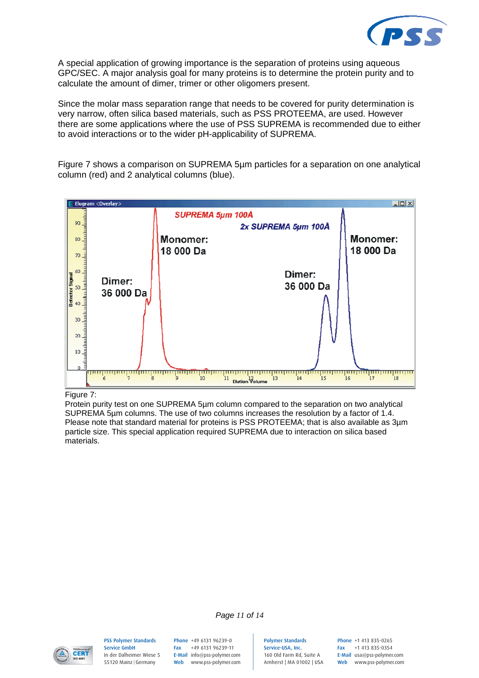

A special application of growing importance is the separation of proteins using aqueous GPC/SEC. A major analysis goal for many proteins is to determine the protein purity and to calculate the amount of dimer, trimer or other oligomers present.

Since the molar mass separation range that needs to be covered for purity determination is very narrow, often silica based materials, such as PSS PROTEEMA, are used. However there are some applications where the use of PSS SUPREMA is recommended due to either to avoid interactions or to the wider pH-applicability of SUPREMA.

Figure 7 shows a comparison on SUPREMA 5µm particles for a separation on one analytical column (red) and 2 analytical columns (blue).



Figure 7:

Protein purity test on one SUPREMA 5µm column compared to the separation on two analytical SUPREMA 5µm columns. The use of two columns increases the resolution by a factor of 1.4. Please note that standard material for proteins is PSS PROTEEMA; that is also available as 3µm particle size. This special application required SUPREMA due to interaction on silica based materials.



PSS Polymer Standards Service GmbH In der Dalheimer Wiese 5 55120 Mainz |Germany

Phone +49 6131 96239-0 Fax +49 6131 96239-11 E-Mail info@pss-polymer.com Web www.pss-polymer.com

*Page 11 of 14*

Polymer Standards Service-USA, Inc. 160 Old Farm Rd, Suite A Amherst | MA 01002 | USA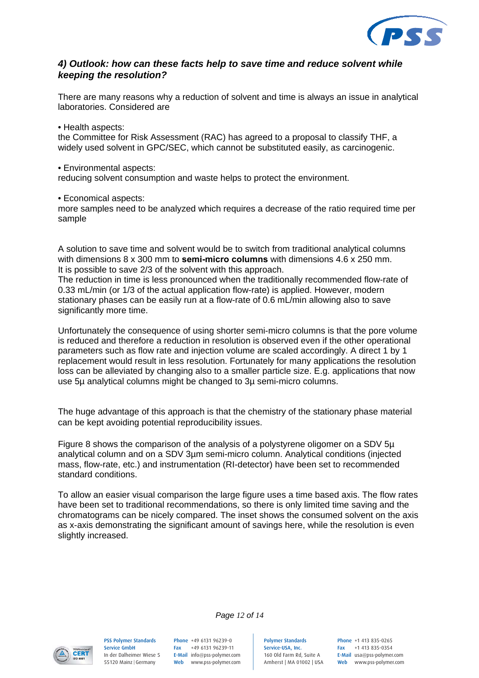

### *4) Outlook: how can these facts help to save time and reduce solvent while keeping the resolution?*

There are many reasons why a reduction of solvent and time is always an issue in analytical laboratories. Considered are

• Health aspects:

the Committee for Risk Assessment (RAC) has agreed to a proposal to classify THF, a widely used solvent in GPC/SEC, which cannot be substituted easily, as carcinogenic.

• Environmental aspects:

reducing solvent consumption and waste helps to protect the environment.

• Economical aspects:

more samples need to be analyzed which requires a decrease of the ratio required time per sample

A solution to save time and solvent would be to switch from traditional analytical columns with dimensions 8 x 300 mm to **semi-micro columns** with dimensions 4.6 x 250 mm. It is possible to save 2/3 of the solvent with this approach.

The reduction in time is less pronounced when the traditionally recommended flow-rate of 0.33 mL/min (or 1/3 of the actual application flow-rate) is applied. However, modern stationary phases can be easily run at a flow-rate of 0.6 mL/min allowing also to save significantly more time.

Unfortunately the consequence of using shorter semi-micro columns is that the pore volume is reduced and therefore a reduction in resolution is observed even if the other operational parameters such as flow rate and injection volume are scaled accordingly. A direct 1 by 1 replacement would result in less resolution. Fortunately for many applications the resolution loss can be alleviated by changing also to a smaller particle size. E.g. applications that now use 5µ analytical columns might be changed to 3µ semi-micro columns.

The huge advantage of this approach is that the chemistry of the stationary phase material can be kept avoiding potential reproducibility issues.

Figure 8 shows the comparison of the analysis of a polystyrene oligomer on a SDV 5µ analytical column and on a SDV 3µm semi-micro column. Analytical conditions (injected mass, flow-rate, etc.) and instrumentation (RI-detector) have been set to recommended standard conditions.

To allow an easier visual comparison the large figure uses a time based axis. The flow rates have been set to traditional recommendations, so there is only limited time saving and the chromatograms can be nicely compared. The inset shows the consumed solvent on the axis as x-axis demonstrating the significant amount of savings here, while the resolution is even slightly increased.

*Page 12 of 14*



PSS Polymer Standards Service GmbH In der Dalheimer Wiese 5 55120 Mainz |Germany

Phone +49 6131 96239-0 Fax +49 6131 96239-11 E-Mail info@pss-polymer.com Web www.pss-polymer.com Polymer Standards Service-USA, Inc. 160 Old Farm Rd, Suite A Amherst | MA 01002 | USA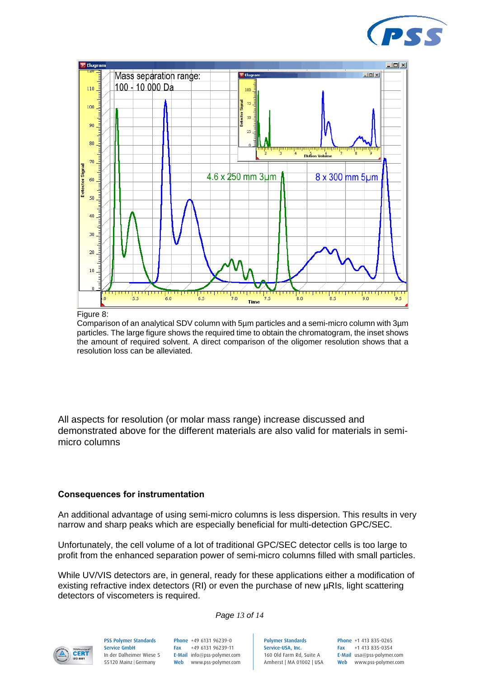



#### Figure 8:

Comparison of an analytical SDV column with 5µm particles and a semi-micro column with 3µm particles. The large figure shows the required time to obtain the chromatogram, the inset shows the amount of required solvent. A direct comparison of the oligomer resolution shows that a resolution loss can be alleviated.

All aspects for resolution (or molar mass range) increase discussed and demonstrated above for the different materials are also valid for materials in semimicro columns

#### **Consequences for instrumentation**

An additional advantage of using semi-micro columns is less dispersion. This results in very narrow and sharp peaks which are especially beneficial for multi-detection GPC/SEC.

Unfortunately, the cell volume of a lot of traditional GPC/SEC detector cells is too large to profit from the enhanced separation power of semi-micro columns filled with small particles.

While UV/VIS detectors are, in general, ready for these applications either a modification of existing refractive index detectors (RI) or even the purchase of new µRIs, light scattering detectors of viscometers is required.

*Page 13 of 14*



PSS Polymer Standards Service GmbH In der Dalheimer Wiese 5 55120 Mainz |Germany

Phone +49 6131 96239-0 Fax +49 6131 96239-11 E-Mail info@pss-polymer.com Web www.pss-polymer.com Polymer Standards Service-USA, Inc. 160 Old Farm Rd, Suite A Amherst | MA 01002 | USA